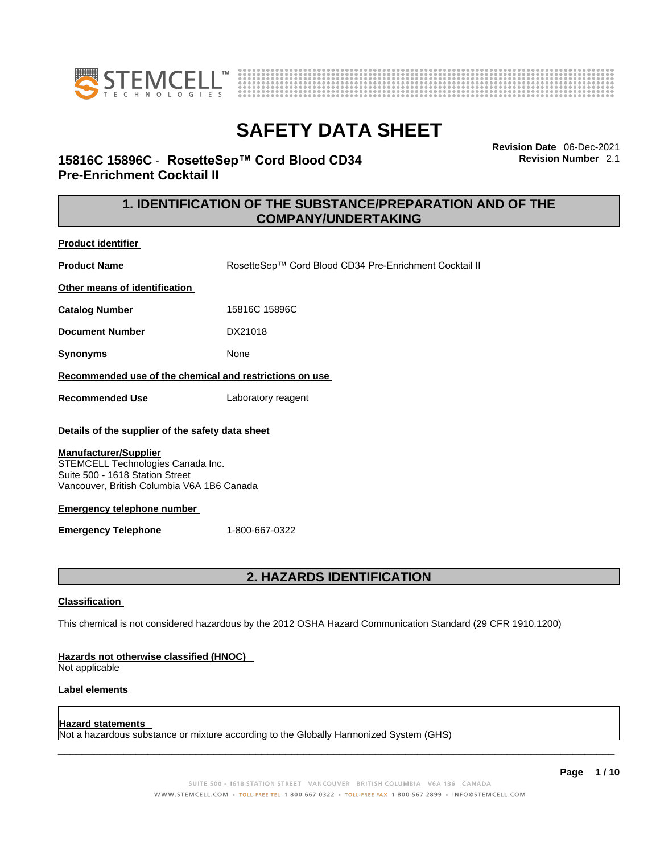



**Revision Date** 06-Dec-2021 **Revision Number** 2.1

# **15816C 15896C** - **RosetteSep™ Cord Blood CD34 Pre-Enrichment Cocktail II**

# **1. IDENTIFICATION OF THE SUBSTANCE/PREPARATION AND OF THE COMPANY/UNDERTAKING**

**Product identifier**

**Product Name** RosetteSep™ Cord Blood CD34 Pre-Enrichment Cocktail II **Other means of identification**

**Catalog Number** 15816C 15896C

**Document Number** DX21018

**Synonyms** None

### **Recommended use of the chemical and restrictions on use**

**Recommended Use** Laboratory reagent

### **Details of the supplier of the safety data sheet**

#### **Manufacturer/Supplier**

STEMCELL Technologies Canada Inc. Suite 500 - 1618 Station Street Vancouver, British Columbia V6A 1B6 Canada

#### **Emergency telephone number**

**Emergency Telephone** 1-800-667-0322

# **2. HAZARDS IDENTIFICATION**

#### **Classification**

This chemical is not considered hazardous by the 2012 OSHA Hazard Communication Standard (29 CFR 1910.1200)

#### **Hazards not otherwise classified (HNOC)**

Not applicable

#### **Label elements**

#### **Hazard statements**

Not a hazardous substance or mixture according to the Globally Harmonized System (GHS)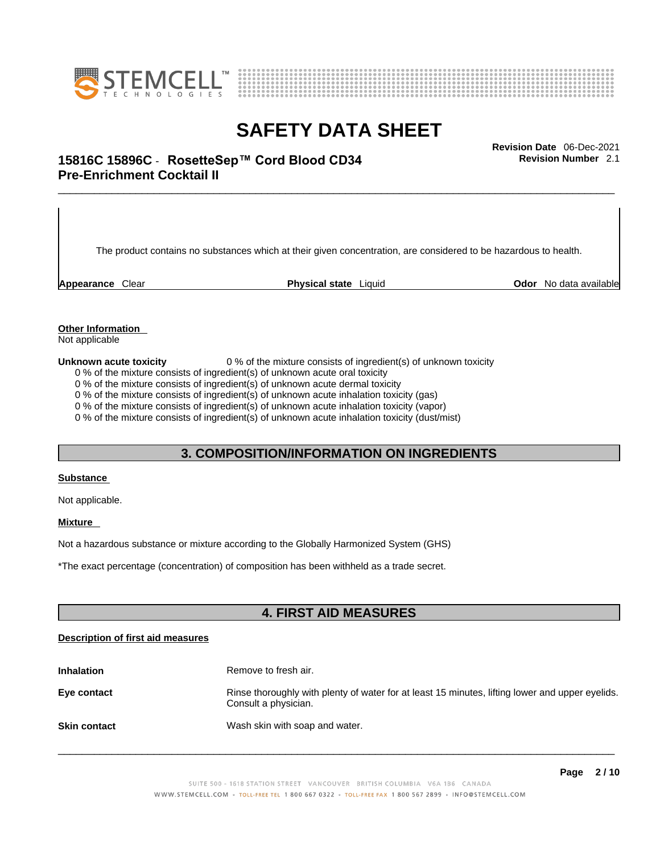



# \_\_\_\_\_\_\_\_\_\_\_\_\_\_\_\_\_\_\_\_\_\_\_\_\_\_\_\_\_\_\_\_\_\_\_\_\_\_\_\_\_\_\_\_\_\_\_\_\_\_\_\_\_\_\_\_\_\_\_\_\_\_\_\_\_\_\_\_\_\_\_\_\_\_\_\_\_\_\_\_\_\_\_\_\_\_\_\_\_\_\_\_\_ **Revision Date** 06-Dec-2021 **15816C 15896C** - **RosetteSep™ Cord Blood CD34 Pre-Enrichment Cocktail II**

The product contains no substances which at their given concentration, are considered to be hazardous to health.

**Appearance** Clear **Physical state** Liquid **Odor** No data available

**Revision Number** 2.1

**Other Information** 

Not applicable

**Unknown acute toxicity** 0 % of the mixture consists of ingredient(s) of unknown toxicity

0 % of the mixture consists of ingredient(s) of unknown acute oral toxicity

0 % of the mixture consists of ingredient(s) of unknown acute dermal toxicity

0 % of the mixture consists of ingredient(s) of unknown acute inhalation toxicity (gas)

0 % of the mixture consists of ingredient(s) of unknown acute inhalation toxicity (vapor)

0 % of the mixture consists of ingredient(s) of unknown acute inhalation toxicity (dust/mist)

# **3. COMPOSITION/INFORMATION ON INGREDIENTS**

#### **Substance**

Not applicable.

### **Mixture**

Not a hazardous substance or mixture according to the Globally Harmonized System (GHS)

\*The exact percentage (concentration) ofcomposition has been withheld as a trade secret.

### **4. FIRST AID MEASURES**

#### **Description of first aid measures**

| <b>Inhalation</b>   | Remove to fresh air.                                                                                                    |
|---------------------|-------------------------------------------------------------------------------------------------------------------------|
| Eye contact         | Rinse thoroughly with plenty of water for at least 15 minutes, lifting lower and upper eyelids.<br>Consult a physician. |
| <b>Skin contact</b> | Wash skin with soap and water.                                                                                          |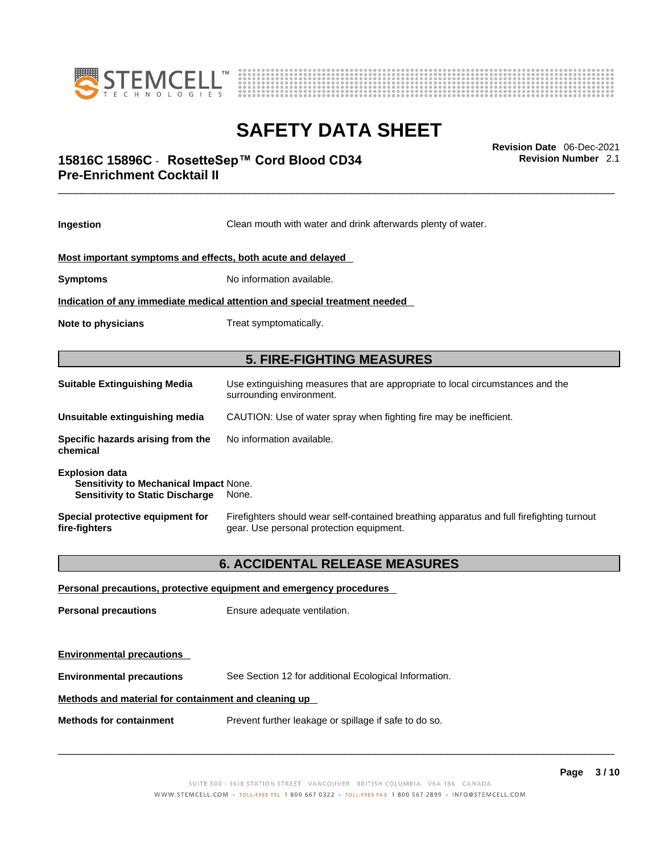



# \_\_\_\_\_\_\_\_\_\_\_\_\_\_\_\_\_\_\_\_\_\_\_\_\_\_\_\_\_\_\_\_\_\_\_\_\_\_\_\_\_\_\_\_\_\_\_\_\_\_\_\_\_\_\_\_\_\_\_\_\_\_\_\_\_\_\_\_\_\_\_\_\_\_\_\_\_\_\_\_\_\_\_\_\_\_\_\_\_\_\_\_\_ **Revision Date** 06-Dec-2021 **15816C 15896C** - **RosetteSep™ Cord Blood CD34 Pre-Enrichment Cocktail II**

**Ingestion** Clean mouth with water and drink afterwards plenty of water. **Most important symptoms and effects, both acute and delayed Symptoms** No information available. **Indication of any immediate medical attention and special treatment needed Note to physicians** Treat symptomatically. **5. FIRE-FIGHTING MEASURES Suitable Extinguishing Media** Use extinguishing measures that are appropriate to local circumstances and the surrounding environment. **Unsuitable extinguishing media** CAUTION: Use of water spray when fighting fire may be inefficient. **Specific hazards arising from the chemical** No information available. **Explosion data Sensitivity to Mechanical Impact** None. **Sensitivity to Static Discharge** None. **Special protective equipment for fire-fighters** Firefighters should wear self-contained breathing apparatus and full firefighting turnout gear. Use personal protection equipment. **6. ACCIDENTAL RELEASE MEASURES Personal precautions, protective equipment and emergency procedures Personal precautions** Ensure adequate ventilation.

**Environmental precautions Environmental precautions** See Section 12 for additional Ecological Information.

**Methods and material for containment and cleaning up**

**Methods for containment** Prevent further leakage or spillage if safe to do so.

 $\_$  ,  $\_$  ,  $\_$  ,  $\_$  ,  $\_$  ,  $\_$  ,  $\_$  ,  $\_$  ,  $\_$  ,  $\_$  ,  $\_$  ,  $\_$  ,  $\_$  ,  $\_$  ,  $\_$  ,  $\_$  ,  $\_$  ,  $\_$  ,  $\_$  ,  $\_$  ,  $\_$  ,  $\_$  ,  $\_$  ,  $\_$  ,  $\_$  ,  $\_$  ,  $\_$  ,  $\_$  ,  $\_$  ,  $\_$  ,  $\_$  ,  $\_$  ,  $\_$  ,  $\_$  ,  $\_$  ,  $\_$  ,  $\_$  ,

**Revision Number** 2.1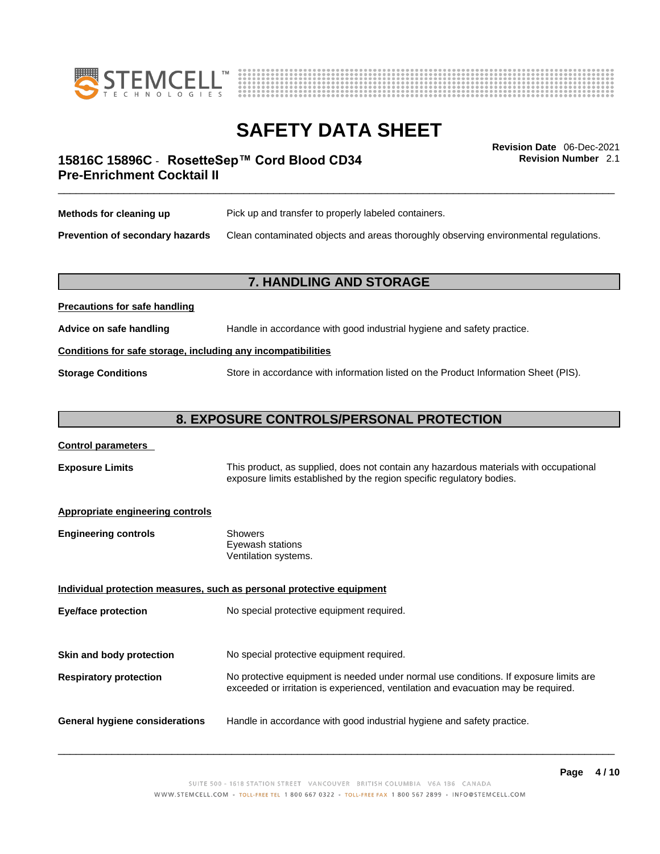



**Revision Number** 2.1

# \_\_\_\_\_\_\_\_\_\_\_\_\_\_\_\_\_\_\_\_\_\_\_\_\_\_\_\_\_\_\_\_\_\_\_\_\_\_\_\_\_\_\_\_\_\_\_\_\_\_\_\_\_\_\_\_\_\_\_\_\_\_\_\_\_\_\_\_\_\_\_\_\_\_\_\_\_\_\_\_\_\_\_\_\_\_\_\_\_\_\_\_\_ **Revision Date** 06-Dec-2021 **15816C 15896C** - **RosetteSep™ Cord Blood CD34 Pre-Enrichment Cocktail II**

| Methods for cleaning up         | Pick up and transfer to properly labeled containers.                                 |
|---------------------------------|--------------------------------------------------------------------------------------|
| Prevention of secondary hazards | Clean contaminated objects and areas thoroughly observing environmental regulations. |

### **7. HANDLING AND STORAGE**

# **Precautions for safe handling Advice on safe handling** Handle in accordance with good industrial hygiene and safety practice. **Conditions for safe storage, including any incompatibilities Storage Conditions** Store in accordance with information listed on the Product Information Sheet (PIS).

### **8. EXPOSURE CONTROLS/PERSONAL PROTECTION**

#### **Control parameters**

**Exposure Limits** This product, as supplied, does not contain any hazardous materials with occupational exposure limits established by the region specific regulatory bodies.

#### **Appropriate engineering controls**

| <b>Engineering controls</b> | Showers              |
|-----------------------------|----------------------|
|                             | Eyewash stations     |
|                             | Ventilation systems. |
|                             |                      |

**Individual protection measures, such as personal protective equipment Eye/face protection** No special protective equipment required. **Skin and body protection** No special protective equipment required. **Respiratory protection** No protective equipment is needed under normal use conditions. If exposure limits are exceeded or irritation is experienced, ventilation and evacuation may be required.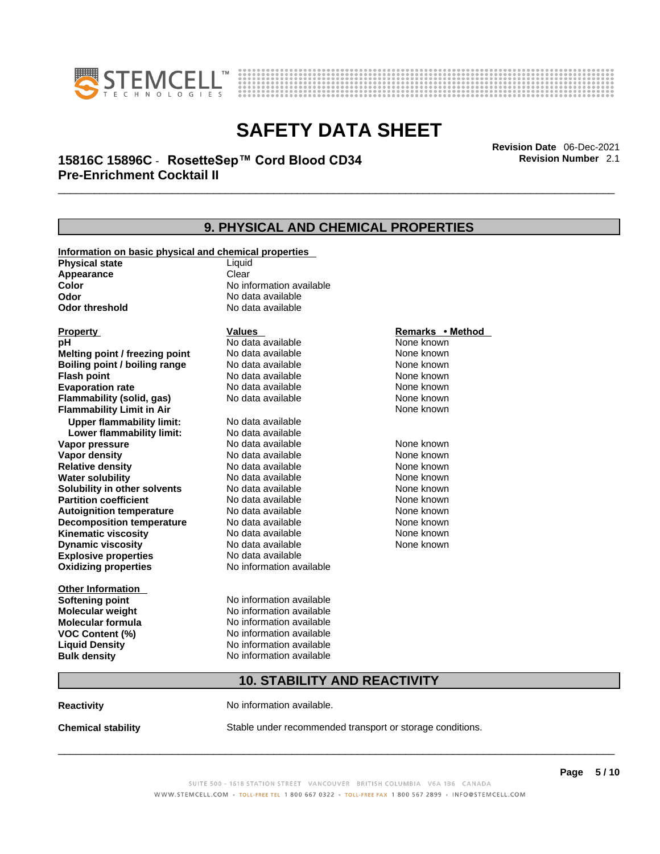



# \_\_\_\_\_\_\_\_\_\_\_\_\_\_\_\_\_\_\_\_\_\_\_\_\_\_\_\_\_\_\_\_\_\_\_\_\_\_\_\_\_\_\_\_\_\_\_\_\_\_\_\_\_\_\_\_\_\_\_\_\_\_\_\_\_\_\_\_\_\_\_\_\_\_\_\_\_\_\_\_\_\_\_\_\_\_\_\_\_\_\_\_\_ **Revision Date** 06-Dec-2021 **15816C 15896C** - **RosetteSep™ Cord Blood CD34 Pre-Enrichment Cocktail II**

**9. PHYSICAL AND CHEMICAL PROPERTIES Information on basic physical and chemical properties Physical state** Liquid **Appearance** Clear<br> **Color** No int **Color Color Color Color Color Color Color No** data available **Odor Odor Constanting Codor Constanting Codor Codor Codor Codor Codor Codor Codor Codor Codor Codor Codor Codor Codor Codor Codor Codor Codor Codor Codor Codor Codor Codor Codor No data available Explosive properties** No data available **Oxidizing properties** No information available **Other Information Softening point** No information available **Molecular weight** No information available **Molecular formula** No information available<br>**VOC Content (%)** No information available **VOC Content (%) Liquid Density** No information available **Bulk density No information available Property CONSCRUTE IN THE VALUES REMARKS • Method pH** No data available None known **Melting point / freezing point Boiling point / boiling range No data available None known Flash point Communist Communist Communist Communist Communist Communist Communist Communist Communist Communist Communist Communist Communist Communist Communist Communist Communist Communist Communist Communist Communi Evaporation rate Reserve ACC** No data available **None known** None known **Flammability (solid, gas)** No data available None known **Flammability Limit in Air None known None known Upper flammability limit:** No data available **Lower flammability limit:** No data available **Vapor pressure No data available None known Vapor density No data available None known Relative density No data available None known** None known **Water solubility No data available** Mome known<br> **Solubility in other solvents** No data available **None known**<br>
None known **Solubility in other solvents** No data available **None known**<br> **Partition coefficient** No data available None known **Partition coefficient**<br> **Autoignition temperature**<br>
No data available **Autoignition temperature** No data available **None known**<br> **Decomposition temperature** No data available None known **Decomposition temperature** No data available None known<br> **Kinematic viscosity** No data available None known **Kinematic viscosity No data available None known**<br> **None known**<br>
No data available **None known**<br>
None known **Dynamic** viscosity None known

### **10. STABILITY AND REACTIVITY**

**Reactivity No information available.** 

**Chemical stability** Stable under recommended transport or storage conditions.

 $\_$  ,  $\_$  ,  $\_$  ,  $\_$  ,  $\_$  ,  $\_$  ,  $\_$  ,  $\_$  ,  $\_$  ,  $\_$  ,  $\_$  ,  $\_$  ,  $\_$  ,  $\_$  ,  $\_$  ,  $\_$  ,  $\_$  ,  $\_$  ,  $\_$  ,  $\_$  ,  $\_$  ,  $\_$  ,  $\_$  ,  $\_$  ,  $\_$  ,  $\_$  ,  $\_$  ,  $\_$  ,  $\_$  ,  $\_$  ,  $\_$  ,  $\_$  ,  $\_$  ,  $\_$  ,  $\_$  ,  $\_$  ,  $\_$  ,

**Revision Number** 2.1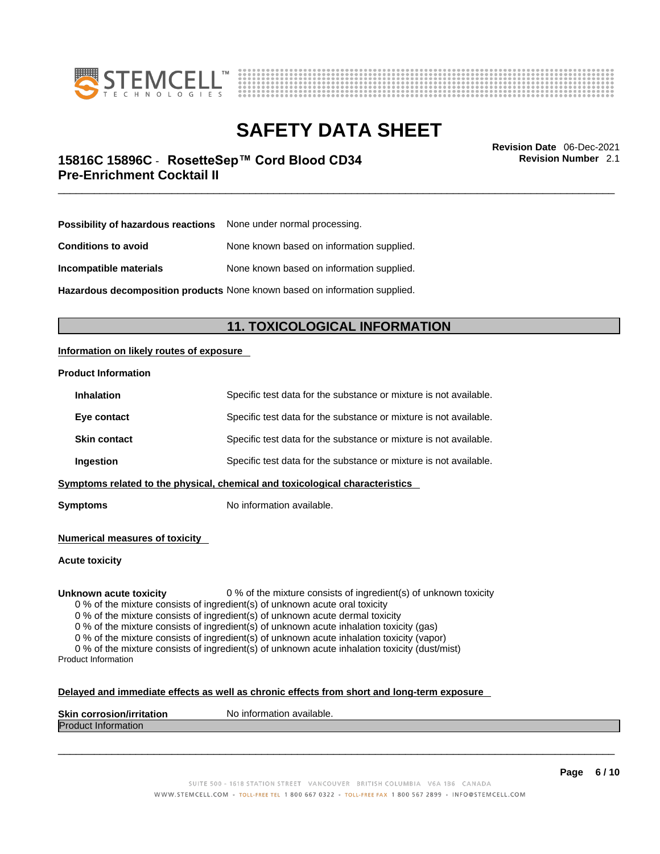



\_\_\_\_\_\_\_\_\_\_\_\_\_\_\_\_\_\_\_\_\_\_\_\_\_\_\_\_\_\_\_\_\_\_\_\_\_\_\_\_\_\_\_\_\_\_\_\_\_\_\_\_\_\_\_\_\_\_\_\_\_\_\_\_\_\_\_\_\_\_\_\_\_\_\_\_\_\_\_\_\_\_\_\_\_\_\_\_\_\_\_\_\_ **Revision Date** 06-Dec-2021 **15816C 15896C** - **RosetteSep™ Cord Blood CD34 Pre-Enrichment Cocktail II** 

**Revision Number** 2.1

| <b>Possibility of hazardous reactions</b> None under normal processing. |                                           |
|-------------------------------------------------------------------------|-------------------------------------------|
| <b>Conditions to avoid</b>                                              | None known based on information supplied. |
| Incompatible materials                                                  | None known based on information supplied. |

**Hazardous decomposition products** None known based on information supplied.

# **11. TOXICOLOGICAL INFORMATION**

### **Information on likely routes of exposure**

#### **Product Information**

| <b>Inhalation</b>   | Specific test data for the substance or mixture is not available.            |
|---------------------|------------------------------------------------------------------------------|
| Eye contact         | Specific test data for the substance or mixture is not available.            |
| <b>Skin contact</b> | Specific test data for the substance or mixture is not available.            |
| Ingestion           | Specific test data for the substance or mixture is not available.            |
|                     | Symptoms related to the physical, chemical and toxicological characteristics |

**Symptoms** No information available.

**Numerical measures of toxicity**

**Acute toxicity**

**Unknown acute toxicity** 0 % of the mixture consists of ingredient(s) of unknown toxicity

0 % of the mixture consists of ingredient(s) of unknown acute oral toxicity

0 % of the mixture consists of ingredient(s) of unknown acute dermal toxicity

0 % of the mixture consists of ingredient(s) of unknown acute inhalation toxicity (gas)

0 % of the mixture consists of ingredient(s) of unknown acute inhalation toxicity (vapor)

0 % of the mixture consists of ingredient(s) of unknown acute inhalation toxicity (dust/mist) Product Information

#### **Delayed and immediate effects as well as chronic effects from short and long-term exposure**

| <b>Skin corrosion/irritation</b> | mation available.<br>Nο<br>. Inform |
|----------------------------------|-------------------------------------|
| Produc<br>⊆iniormation           |                                     |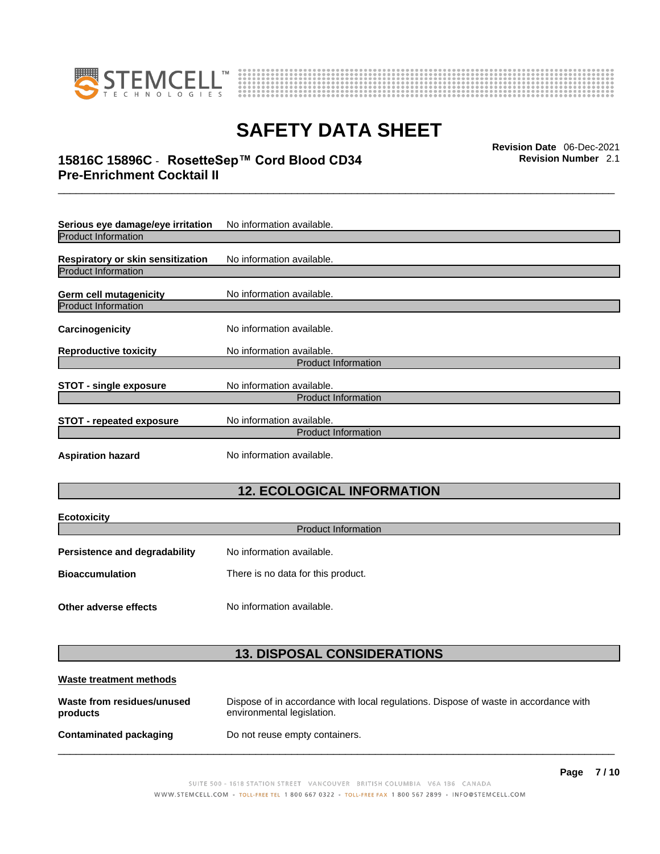



# \_\_\_\_\_\_\_\_\_\_\_\_\_\_\_\_\_\_\_\_\_\_\_\_\_\_\_\_\_\_\_\_\_\_\_\_\_\_\_\_\_\_\_\_\_\_\_\_\_\_\_\_\_\_\_\_\_\_\_\_\_\_\_\_\_\_\_\_\_\_\_\_\_\_\_\_\_\_\_\_\_\_\_\_\_\_\_\_\_\_\_\_\_ **Revision Date** 06-Dec-2021 **15816C 15896C** - **RosetteSep™ Cord Blood CD34 Pre-Enrichment Cocktail II**

**Serious eye damage/eye irritation** No information available. Product Information **Respiratory or skin sensitization** No information available. Product Information **Germ cell mutagenicity** No information available. Product Information **Carcinogenicity** No information available. **Reproductive toxicity** No information available. Product Information **STOT** - single exposure<br>
No information available. Product Information **STOT** - **repeated exposure** No information available. Product Information **Aspiration hazard** No information available.

# **12. ECOLOGICAL INFORMATION**

| <b>Ecotoxicity</b>                                                |                            |  |
|-------------------------------------------------------------------|----------------------------|--|
|                                                                   | <b>Product Information</b> |  |
| No information available.<br><b>Persistence and degradability</b> |                            |  |
| <b>Bioaccumulation</b><br>There is no data for this product.      |                            |  |
|                                                                   |                            |  |
| Other adverse effects                                             | No information available.  |  |

# **13. DISPOSAL CONSIDERATIONS**

| Waste treatment methods                |                                                                                                                    |
|----------------------------------------|--------------------------------------------------------------------------------------------------------------------|
| Waste from residues/unused<br>products | Dispose of in accordance with local regulations. Dispose of waste in accordance with<br>environmental legislation. |
| Contaminated packaging                 | Do not reuse empty containers.                                                                                     |

**Page 7 / 10**

**Revision Number** 2.1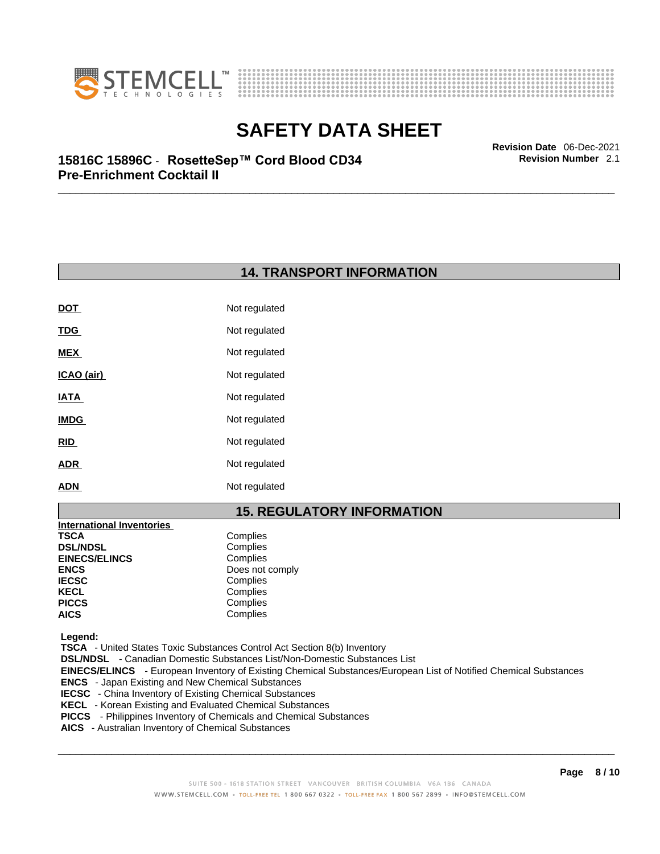



**Revision Number** 2.1

# \_\_\_\_\_\_\_\_\_\_\_\_\_\_\_\_\_\_\_\_\_\_\_\_\_\_\_\_\_\_\_\_\_\_\_\_\_\_\_\_\_\_\_\_\_\_\_\_\_\_\_\_\_\_\_\_\_\_\_\_\_\_\_\_\_\_\_\_\_\_\_\_\_\_\_\_\_\_\_\_\_\_\_\_\_\_\_\_\_\_\_\_\_ **Revision Date** 06-Dec-2021 **15816C 15896C** - **RosetteSep™ Cord Blood CD34 Pre-Enrichment Cocktail II**

# **14. TRANSPORT INFORMATION**

| <b>DOT</b>  | Not regulated |
|-------------|---------------|
| <u>TDG</u>  | Not regulated |
| MEX         | Not regulated |
| ICAO (air)  | Not regulated |
| IATA        | Not regulated |
| <b>IMDG</b> | Not regulated |
| RID         | Not regulated |
| <b>ADR</b>  | Not regulated |
| <b>ADN</b>  | Not regulated |

# **15. REGULATORY INFORMATION**

| <b>International Inventories</b> |                 |
|----------------------------------|-----------------|
| TSCA                             | Complies        |
| <b>DSL/NDSL</b>                  | Complies        |
| <b>EINECS/ELINCS</b>             | Complies        |
| ENCS                             | Does not comply |
| <b>IECSC</b>                     | Complies        |
| KECL                             | Complies        |
| PICCS                            | Complies        |
| AICS                             | Complies        |
|                                  |                 |

 **Legend:** 

 **TSCA** - United States Toxic Substances Control Act Section 8(b) Inventory

 **DSL/NDSL** - Canadian Domestic Substances List/Non-Domestic Substances List

 **EINECS/ELINCS** - European Inventory of Existing Chemical Substances/European List of Notified Chemical Substances

- **ENCS**  Japan Existing and New Chemical Substances
- **IECSC**  China Inventory of Existing Chemical Substances
- **KECL**  Korean Existing and Evaluated Chemical Substances
- **PICCS**  Philippines Inventory of Chemicals and Chemical Substances
- **AICS**  Australian Inventory of Chemical Substances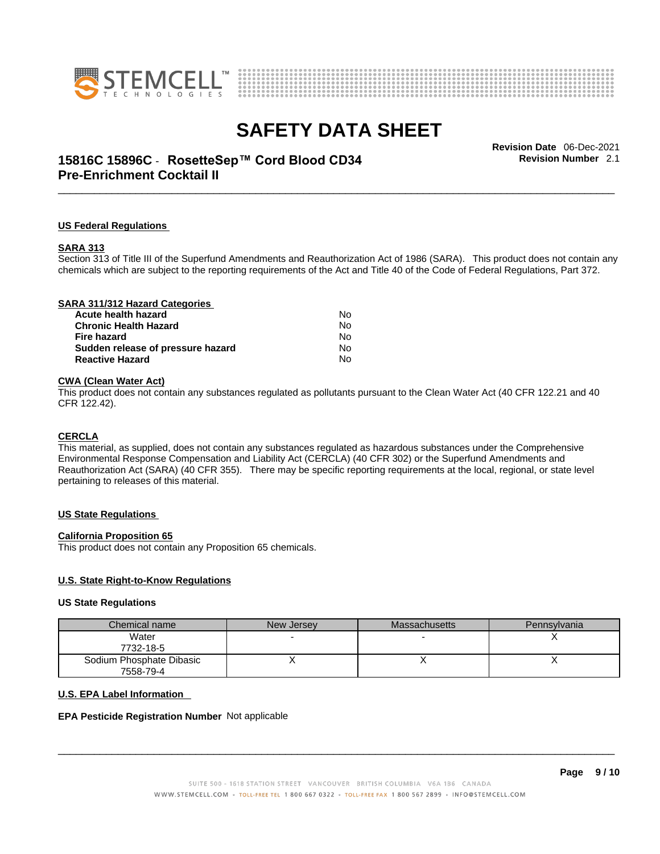



# \_\_\_\_\_\_\_\_\_\_\_\_\_\_\_\_\_\_\_\_\_\_\_\_\_\_\_\_\_\_\_\_\_\_\_\_\_\_\_\_\_\_\_\_\_\_\_\_\_\_\_\_\_\_\_\_\_\_\_\_\_\_\_\_\_\_\_\_\_\_\_\_\_\_\_\_\_\_\_\_\_\_\_\_\_\_\_\_\_\_\_\_\_ **Revision Date** 06-Dec-2021 **15816C 15896C** - **RosetteSep™ Cord Blood CD34 Pre-Enrichment Cocktail II**

**Revision Number** 2.1

#### **US Federal Regulations**

#### **SARA 313**

Section 313 of Title III of the Superfund Amendments and Reauthorization Act of 1986 (SARA). This product does not contain any chemicals which are subject to the reporting requirements of the Act and Title 40 of the Code of Federal Regulations, Part 372.

### **CWA** (Clean Water Act)

This product does not contain any substances regulated as pollutants pursuant to the Clean Water Act (40 CFR 122.21 and 40 CFR 122.42).

#### **CERCLA**

This material, as supplied, does not contain any substances regulated as hazardous substances under the Comprehensive Environmental Response Compensation and Liability Act (CERCLA) (40 CFR 302) or the Superfund Amendments and Reauthorization Act (SARA) (40 CFR 355). There may be specific reporting requirements at the local, regional, or state level pertaining to releases of this material.

#### **US State Regulations**

#### **California Proposition 65**

This product does not contain any Proposition 65 chemicals.

#### **U.S. State Right-to-Know Regulations**

#### **US State Regulations**

| Chemical name            | New Jersey | <b>Massachusetts</b> | Pennsylvania |
|--------------------------|------------|----------------------|--------------|
| Water                    |            |                      |              |
| 7732-18-5                |            |                      |              |
| Sodium Phosphate Dibasic |            |                      |              |
| 7558-79-4                |            |                      |              |

#### **U.S. EPA Label Information**

#### **EPA Pesticide Registration Number** Not applicable